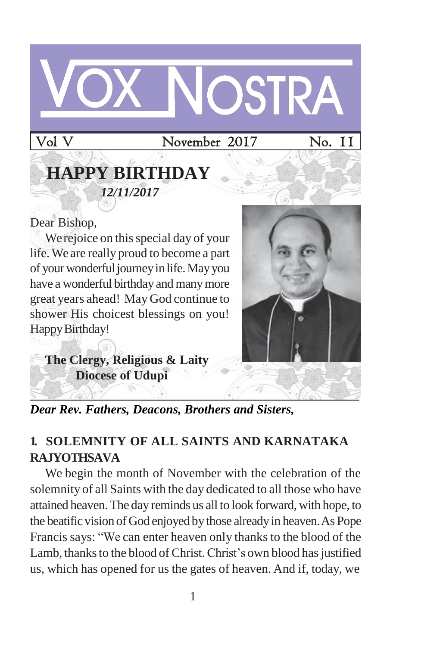# OSTRA

Vol V November 2017 No. 11

# **HAPPY BIRTHDAY** *12/11/2017*

Dear Bishop,

We rejoice on this special day of your life.We are really proud to become a part of your wonderful journey in life. May you have a wonderful birthday and manymore great years ahead! May God continue to shower His choicest blessings on you! Happy Birthday!



**The Clergy, Religious & Laity Diocese of Udupi**

*Dear Rev. Fathers, Deacons, Brothers and Sisters,*

# **1. SOLEMNITY OF ALL SAINTS AND KARNATAKA RAJYOTHSAVA**

We begin the month of November with the celebration of the solemnity of all Saints with the day dedicated to all those who have attained heaven.The day reminds us all to look forward, with hope, to the beatific vision of God enjoyed by those already in heaven. As Pope Francis says: "We can enter heaven only thanks to the blood of the Lamb, thanks to the blood of Christ. Christ's own blood has justified us, which has opened for us the gates of heaven. And if, today, we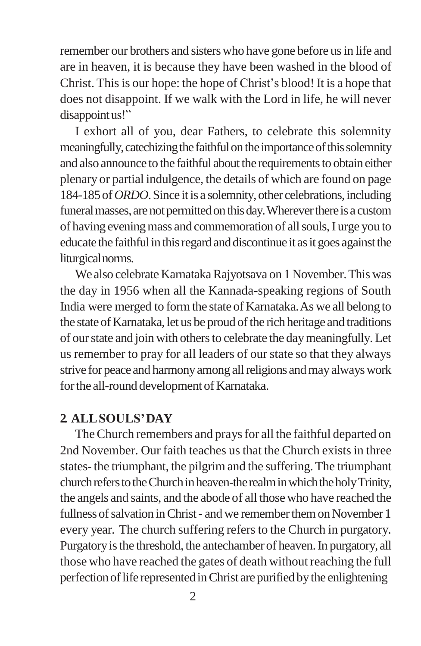remember our brothers and sisterswho have gone before usin life and are in heaven, it is because they have been washed in the blood of Christ. Thisis our hope: the hope of Christ's blood! It is a hope that does not disappoint. If we walk with the Lord in life, he will never disappointus!"

I exhort all of you, dear Fathers, to celebrate this solemnity meaningfully, catechizing the faithful on the importance of this solemnity and also announce to the faithful about the requirements to obtain either plenary or partial indulgence, the details of which are found on page 184-185 of *ORDO*. Since it is a solemnity, other celebrations, including funeral masses, are not permitted on this day. Wherever there is a custom of having evening mass and commemoration of all souls, I urge you to educate the faithful in this regard and discontinue it as it goes against the liturgicalnorms.

We also celebrate Karnataka Rajyotsava on 1 November. This was the day in 1956 when all the Kannada-speaking regions of South India were merged to formthe state of Karnataka.As we all belong to the state of Karnataka, let us be proud of the rich heritage and traditions of ourstate and join with othersto celebrate the daymeaningfully. Let us remember to pray for all leaders of our state so that they always strive for peace and harmony among all religions and may always work for the all-round development of Karnataka.

#### **2. ALLSOULS'DAY**

The Church remembers and prays for all the faithful departed on 2nd November. Our faith teaches us that the Church exists in three states-the triumphant, the pilgrim and the suffering.The triumphant church refers to the Church in heaven-the realm in which the holy Trinity, the angels and saints, and the abode of all those who have reached the fullness of salvation in Christ - and we remember them on November 1 every year. The church suffering refers to the Church in purgatory. Purgatory is the threshold, the antechamber of heaven. In purgatory, all those who have reached the gates of death without reaching the full perfection of life represented in Christ are purified by the enlightening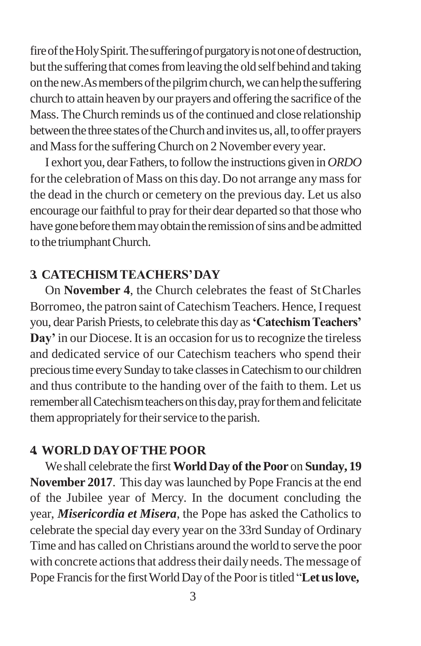fire of the Holy Spirit. The suffering of purgatory is not one of destruction, but the suffering that comes from leaving the old self behind and taking on the new. As members of the pilgrim church, we can help the suffering church to attain heaven by our prayers and offering the sacrifice of the Mass.TheChurch reminds us of the continued and close relationship between the three states of the Church and invites us, all, to offer prayers and Mass for the suffering Church on 2 November every year.

I exhort you, dear Fathers, to follow the instructions given in *ORDO* for the celebration of Mass on this day. Do not arrange any mass for the dead in the church or cemetery on the previous day. Let us also encourage our faithful to pray for their dear departed so that those who have gone before them may obtain the remission of sins and be admitted to the triumphantChurch.

#### **3. CATECHISMTEACHERS'DAY**

On **November 4**, the Church celebrates the feast of StCharles Borromeo, the patron saint of Catechism Teachers. Hence, I request you, dear Parish Priests, to celebrate this day as**'CatechismTeachers'**  Day' in our Diocese. It is an occasion for us to recognize the tireless and dedicated service of our Catechism teachers who spend their precioustime everySundayto take classesinCatechismto our children and thus contribute to the handing over of the faith to them. Let us remember all Catechism teachers on this day, pray for them and felicitate them appropriately for their service to the parish.

#### **4. WORLD DAYOFTHE POOR**

We shall celebrate the first**WorldDay of the Poor** on **Sunday, 19 November 2017**. This day waslaunched by Pope Francis at the end of the Jubilee year of Mercy. In the document concluding the year, *Misericordia et Misera*, the Pope has asked the Catholics to celebrate the special day every year on the 33rd Sunday of Ordinary Time and has called on Christians around the world to serve the poor with concrete actions that address their daily needs. The message of Pope Francis for the first World Day of the Poor is titled "Let us love,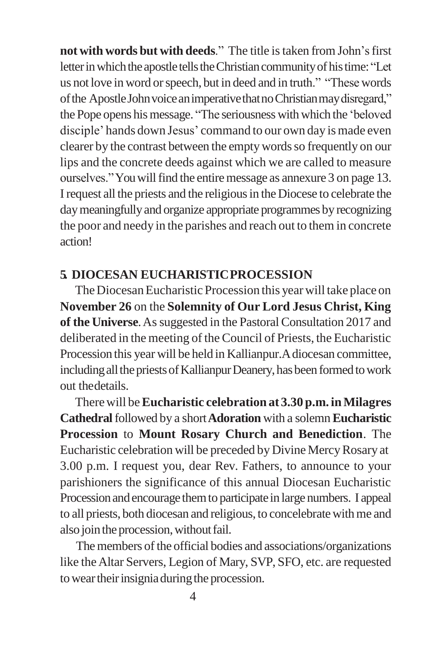**not** with words but with deeds." The title is taken from John's first letter in which the apostle tells the Christian community of his time: "Let us not love in word or speech, but in deed and in truth." "These words of the Apostle John voice an imperative that no Christian may disregard," the Pope opens his message. "The seriousness with which the 'beloved disciple' hands down Jesus' command to our own day is made even clearer by the contrast between the empty words so frequently on our lips and the concrete deeds against which we are called to measure ourselves." You will find the entire message as annexure 3 on page 13. Irequest all the priests and the religiousin the Diocese to celebrate the day meaningfully and organize appropriate programmes by recognizing the poor and needy in the parishes and reach out to them in concrete action!

#### **5. DIOCESAN EUCHARISTICPROCESSION**

The Diocesan Eucharistic Procession this year will take place on **November 26** on the **Solemnity of Our Lord Jesus Christ, King of the Universe.** As suggested in the Pastoral Consultation 2017 and deliberated in the meeting of the Council of Priests, the Eucharistic Procession this year will be held in Kallianpur.Adiocesan committee, including all the priests of Kallianpur Deanery, has been formed to work out thedetails.

Therewill be**Eucharistic celebration at 3.30 p.m. inMilagres Cathedral**followed by a short**Adoration** with a solemn**Eucharistic Procession** to **Mount Rosary Church and Benediction**. The Eucharistic celebration will be preceded by DivineMercyRosary at 3.00 p.m. I request you, dear Rev. Fathers, to announce to your parishioners the significance of this annual Diocesan Eucharistic Procession and encourage them to participate in large numbers. I appeal to all priests, both diocesan and religious, to concelebratewithme and also join the procession, without fail.

The members of the official bodies and associations/organizations like theAltar Servers, Legion of Mary, SVP, SFO, etc. are requested to wear their insignia during the procession.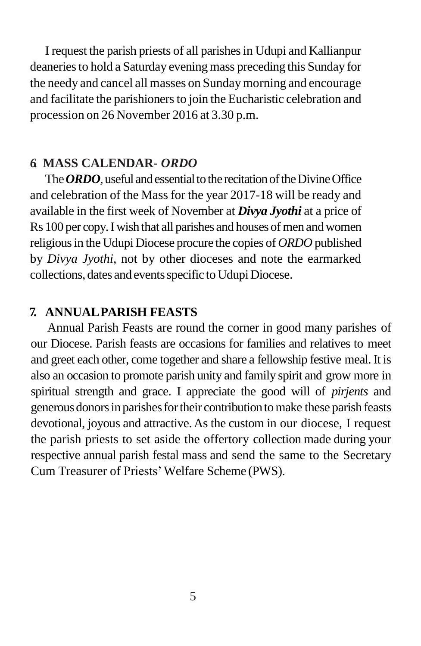I request the parish priests of all parishesin Udupi and Kallianpur deaneries to hold a Saturday evening mass preceding this Sunday for the needy and cancel all masses on Sundaymorning and encourage and facilitate the parishioners to join the Eucharistic celebration and procession on 26 November 2016 at 3.30 p.m.

#### *6.* **MASS CALENDAR-** *ORDO*

The **ORDO**, useful and essential to the recitation of the Divine Office and celebration of the Mass for the year 2017-18 will be ready and available in the first week of November at *Divya Jyothi* at a price of Rs 100 per copy. I wish that all parishes and houses of men and women religious in the Udupi Diocese procure the copies of *ORDO* published by *Divya Jyothi,* not by other dioceses and note the earmarked collections, dates and events specific to Udupi Diocese.

#### **7. ANNUALPARISH FEASTS**

Annual Parish Feasts are round the corner in good many parishes of our Diocese. Parish feasts are occasions for families and relatives to meet and greet each other, come together and share a fellowship festive meal. It is also an occasion to promote parish unity and family spirit and grow more in spiritual strength and grace. I appreciate the good will of *pirjents* and generousdonorsin parishesfortheir contributiontomake these parish feasts devotional, joyous and attractive. As the custom in our diocese, I request the parish priests to set aside the offertory collection made during your respective annual parish festal mass and send the same to the Secretary Cum Treasurer of Priests'Welfare Scheme (PWS).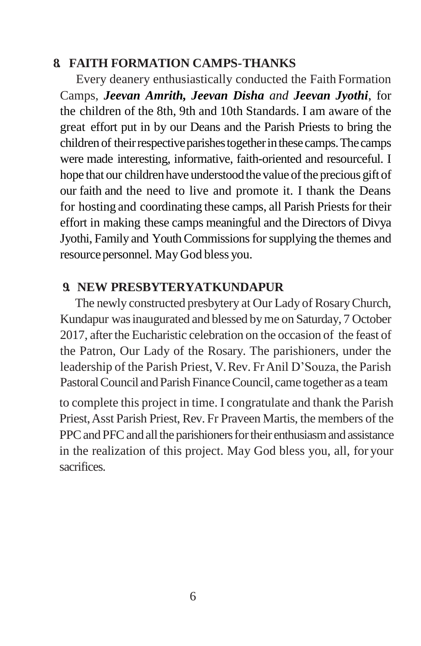#### **8. FAITH FORMATION CAMPS-THANKS**

Every deanery enthusiastically conducted the Faith Formation Camps, *Jeevan Amrith, Jeevan Disha and Jeevan Jyothi*, for the children of the 8th, 9th and 10th Standards. I am aware of the great effort put in by our Deans and the Parish Priests to bring the children of their respective parishes together in these camps. The camps were made interesting, informative, faith-oriented and resourceful. I hope that our children have understood the value of the precious gift of our faith and the need to live and promote it. I thank the Deans for hosting and coordinating these camps, all Parish Priests for their effort in making these camps meaningful and the Directors of Divya Jyothi, Family and Youth Commissions for supplying the themes and resource personnel. May God bless you.

#### **9. NEW PRESBYTERYATKUNDAPUR**

The newly constructed presbytery at Our Lady of RosaryChurch, Kundapur wasinaugurated and blessed byme on Saturday, 7 October 2017, after the Eucharistic celebration on the occasion of the feast of the Patron, Our Lady of the Rosary. The parishioners, under the leadership of the Parish Priest, V.Rev. FrAnil D'Souza, the Parish Pastoral Council and Parish Finance Council, came together as a team

to complete this project in time. I congratulate and thank the Parish Priest,Asst Parish Priest, Rev. Fr Praveen Martis, the members of the PPC and PFC and all the parishioners for their enthusiasm and assistance in the realization of this project. May God bless you, all, for your sacrifices.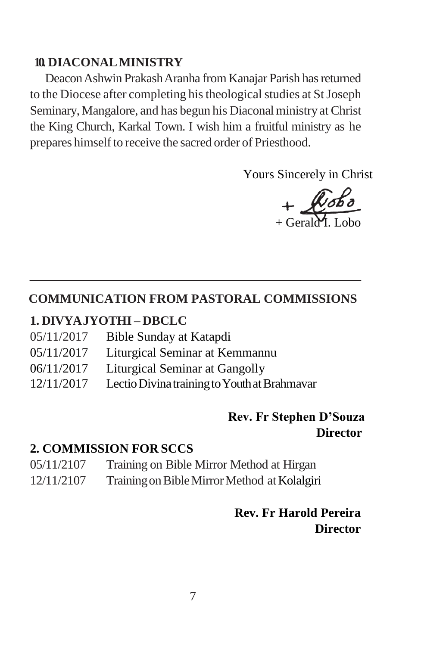#### **10. DIACONALMINISTRY**

Deacon Ashwin Prakash Aranha from Kanajar Parish has returned to the Diocese after completing his theological studies at St Joseph Seminary, Mangalore, and has begun his Diaconal ministry at Christ the King Church, Karkal Town. I wish him a fruitful ministry as he prepares himself to receive the sacred order of Priesthood.

Yours Sincerely in Christ

+ Gerald I

#### **COMMUNICATION FROM PASTORAL COMMISSIONS**

#### **1. DIVYAJYOTHI – DBCLC**

| 05/11/2017 | Bible Sunday at Katapdi                      |
|------------|----------------------------------------------|
| 05/11/2017 | Liturgical Seminar at Kemmannu               |
| 06/11/2017 | Liturgical Seminar at Gangolly               |
| 12/11/2017 | Lectio Divina training to Youth at Brahmavar |

#### **Rev. Fr Stephen D'Souza Director**

#### **2. COMMISSION FOR SCCS**

- 05/11/2107 Training on Bible Mirror Method at Hirgan
- 12/11/2107 Training on Bible Mirror Method at Kolalgiri

#### **Rev. Fr Harold Pereira Director**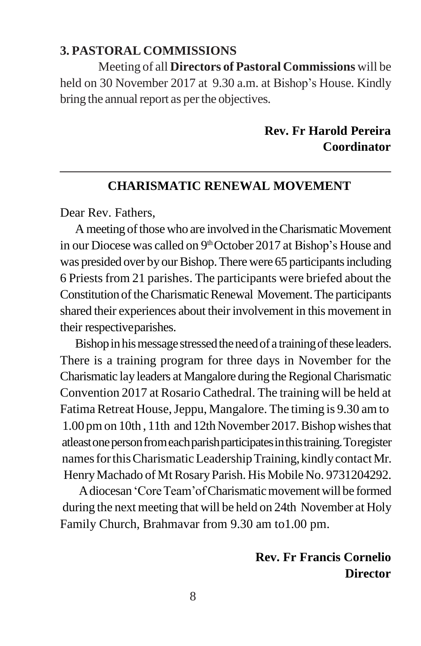#### **3. PASTORAL COMMISSIONS**

Meeting of all **Directors of Pastoral Commissions** will be held on 30 November 2017 at 9.30 a.m. at Bishop's House. Kindly bring the annual report as per the objectives.

#### **Rev. Fr Harold Pereira Coordinator**

#### **CHARISMATIC RENEWAL MOVEMENT**

Dear Rev. Fathers,

A meeting of those who are involved in the Charismatic Movement in our Diocese was called on 9<sup>th</sup> October 2017 at Bishop's House and was presided over by our Bishop. There were 65 participants including 6 Priests from 21 parishes. The participants were briefed about the Constitution of the Charismatic Renewal Movement. The participants shared their experiences about their involvement in this movement in their respectiveparishes.

Bishop in his message stressed the need of a training of these leaders. There is a training program for three days in November for the Charismatic lay leaders at Mangalore during the Regional Charismatic Convention 2017 at Rosario Cathedral. The training will be held at Fatima Retreat House, Jeppu, Mangalore. The timing is 9.30 am to 1.00 pm on 10th, 11th and 12th November 2017. Bishop wishes that atleastonepersonfromeachparishparticipatesinthistraining.Toregister names for this Charismatic Leadership Training, kindly contact Mr. Henry Machado of Mt Rosary Parish. His Mobile No. 9731204292.

A diocesan 'Core Team' of Charismatic movement will be formed during the next meeting that will be held on 24th November at Holy Family Church, Brahmavar from 9.30 am to1.00 pm.

#### **Rev. Fr Francis Cornelio Director**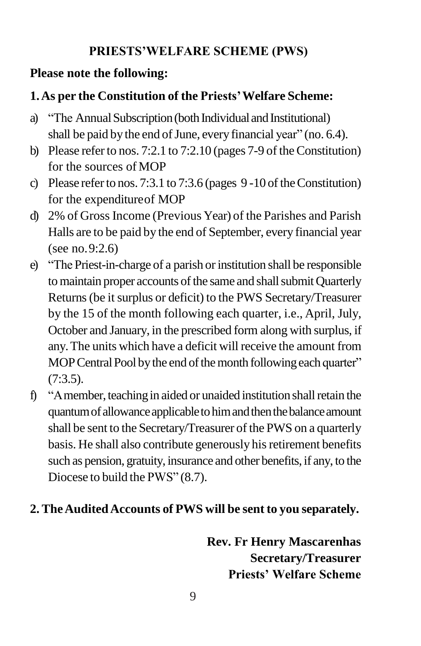### **PRIESTS'WELFARE SCHEME (PWS)**

## **Please note the following:**

# **1.As per the Constitution of the Priests'Welfare Scheme:**

- a) "The Annual Subscription (both Individual and Institutional) shall be paid by the end of June, every financial year" (no. 6.4).
- b) Please refer to nos. 7:2.1 to 7:2.10 (pages 7-9 of the Constitution) for the sources of MOP
- c) Please refer to nos. 7:3.1 to 7:3.6 (pages  $9-10$  of the Constitution) for the expenditureof MOP
- d) 2% of Gross Income (Previous Year) of the Parishes and Parish Halls are to be paid by the end of September, every financial year (see no.9:2.6)
- e) "The Priest-in-charge of a parish or institution shall be responsible to maintain proper accounts of the same and shall submit Quarterly Returns (be it surplus or deficit) to the PWS Secretary/Treasurer by the 15 of the month following each quarter, i.e., April, July, October and January, in the prescribed form along with surplus, if any.The units which have a deficit will receive the amount from MOP Central Pool by the end of the month following each quarter" (7:3.5).
- f) "A member, teaching in aided or unaided institution shall retain the quantum of allowance applicable to him and then the balance amount shall be sent to the Secretary/Treasurer of the PWS on a quarterly basis. He shall also contribute generously his retirement benefits such as pension, gratuity, insurance and other benefits, if any, to the Diocese to build the PWS" (8.7).

# **2. TheAuditedAccounts of PWS will be sent to you separately.**

**Rev. Fr Henry Mascarenhas Secretary/Treasurer Priests' Welfare Scheme**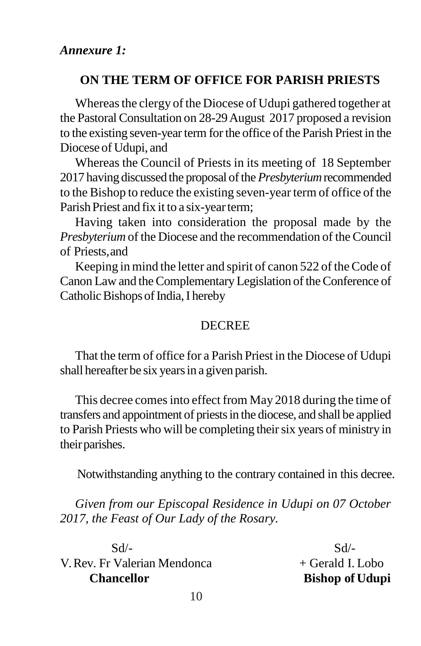#### **ON THE TERM OF OFFICE FOR PARISH PRIESTS**

Whereas the clergy of the Diocese of Udupi gathered together at the Pastoral Consultation on 28-29August 2017 proposed a revision to the existing seven-yearterm forthe office of the Parish Priest in the Diocese of Udupi, and

Whereas the Council of Priests in its meeting of 18 September 2017 having discussed the proposal of the *Presbyterium* recommended to the Bishop to reduce the existing seven-year term of office of the Parish Priest and fix it to a six-year term;

Having taken into consideration the proposal made by the *Presbyterium* of the Diocese and the recommendation of the Council of Priests,and

Keeping in mind the letter and spirit of canon 522 of theCode of Canon Law and the Complementary Legislation of the Conference of Catholic Bishops of India, I hereby

#### **DECREE**

That the term of office for a Parish Priest in the Diocese of Udupi shall hereafter be six yearsin a given parish.

This decree comesinto effect from May 2018 during the time of transfers and appointment of priestsin the diocese, and shall be applied to Parish Priests who will be completing their six years of ministry in their parishes.

Notwithstanding anything to the contrary contained in this decree.

*Given from our Episcopal Residence in Udupi on 07 October 2017, the Feast of Our Lady of the Rosary.*

 $Sd$ - $Sd$ - $V. Rev. Fr Valerian Mendonca + Gerald I. Lobo$ **Chancellor Bishop of Udupi**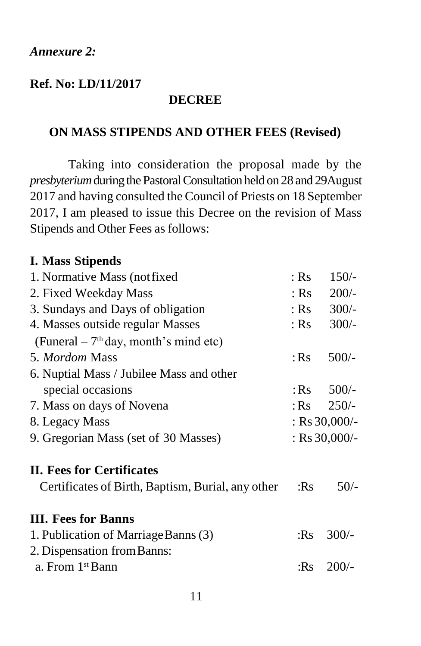#### **Ref. No: LD/11/2017**

#### **DECREE**

#### **ON MASS STIPENDS AND OTHER FEES (Revised)**

Taking into consideration the proposal made by the *presbyterium* during the Pastoral Consultation held on 28 and 29 August 2017 and having consulted the Council of Priests on 18 September 2017, I am pleased to issue this Decree on the revision of Mass Stipends and Other Fees as follows:

#### **I. Mass Stipends**

| 1. Normative Mass (not fixed)                     |        | $150/-$               |  |
|---------------------------------------------------|--------|-----------------------|--|
| 2. Fixed Weekday Mass                             |        | $200/-$<br>: $Rs$     |  |
| 3. Sundays and Days of obligation                 |        | $300/-$<br>: $Rs$     |  |
| 4. Masses outside regular Masses                  |        | $300/-$<br>: $Rs$     |  |
| (Funeral $-7th$ day, month's mind etc)            |        |                       |  |
| 5. Mordom Mass                                    |        | $500/-$               |  |
| 6. Nuptial Mass / Jubilee Mass and other          |        |                       |  |
| special occasions                                 | : $Rs$ | $500/-$               |  |
| 7. Mass on days of Novena                         |        | $250/-$<br>: $\rm Rs$ |  |
| 8. Legacy Mass                                    |        | : Rs $30,000/$ -      |  |
| 9. Gregorian Mass (set of 30 Masses)              |        | : Rs $30,000/$ -      |  |
| <b>II. Fees for Certificates</b>                  |        |                       |  |
| Certificates of Birth, Baptism, Burial, any other |        | $50/-$                |  |
| <b>III.</b> Fees for Banns                        |        |                       |  |
| 1. Publication of Marriage Banns (3)              |        | $300/-$               |  |
| 2. Dispensation from Banns:                       |        |                       |  |
| a. From 1 <sup>st</sup> Bann                      | :Rs    | $200/-$               |  |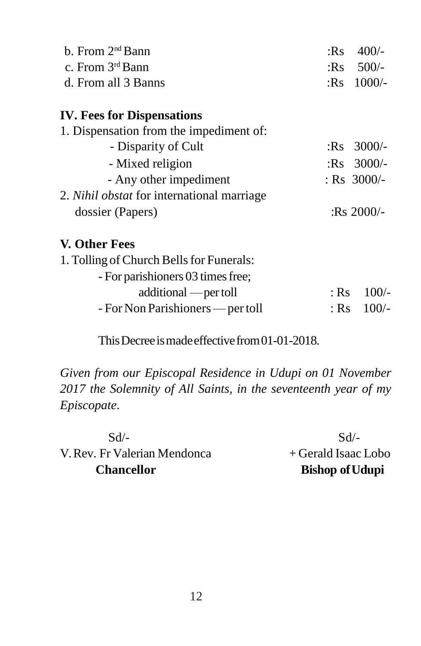| : $Rs$ | $400/-$       |
|--------|---------------|
|        | $:Rs$ 500/-   |
|        | : $Rs$ 1000/- |
|        |               |
|        |               |
|        | $:$ Rs 3000/- |
|        | $:Rs$ 3000/-  |
|        | : $Rs$ 3000/- |
|        |               |
|        | : $Rs 2000/-$ |
|        |               |
|        |               |
|        |               |
| $:$ Rs | $100/-$       |
| : Rs   | $100/-$       |
|        |               |

This Decree is made effective from 01-01-2018.

*Given from our Episcopal Residence in Udupi on 01 November 2017 the Solemnity of All Saints, in the seventeenth year of my Episcopate*.

 $Sd$ - $Sd$ -V. Rev. Fr Valerian Mendonca + Gerald Isaac Lobo **Chancellor Bishop of Udupi**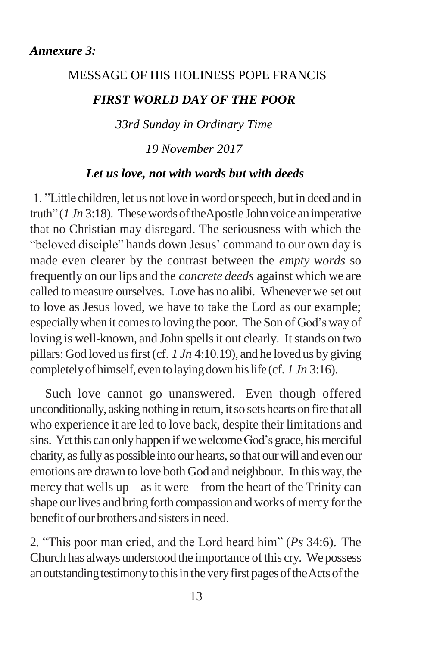#### MESSAGE OF HIS HOLINESS POPE FRANCIS

#### *FIRST WORLD DAY OF THE POOR*

*33rd Sunday in Ordinary Time* 

*19 November 2017*

#### *Let us love, not with words but with deeds*

1. "Little children, let us not love in word or speech, but in deed and in truth" ( $1 Jn 3:18$ ). These words of theApostle John voice an imperative that no Christian may disregard. The seriousness with which the "beloved disciple" hands down Jesus' command to our own day is made even clearer by the contrast between the *empty words* so frequently on our lips and the *concrete deeds* against which we are called to measure ourselves. Love has no alibi. Whenever we set out to love as Jesus loved, we have to take the Lord as our example; especially when it comes to loving the poor. The Son of God's way of loving is well-known, and John spells it out clearly. It stands on two pillars:God loved usfirst(cf. *1 Jn* 4:10.19), and he loved us by giving completely of himself, even to laying down his life (cf. 1 *Jn* 3:16).

Such love cannot go unanswered. Even though offered unconditionally, asking nothing in return, it so sets hearts on fire that all who experience it are led to love back, despite their limitations and sins. Yet this can only happen if we welcome God's grace, his merciful charity, as fully as possible into our hearts, so that our will and even our emotions are drawn to love both God and neighbour. In this way, the mercy that wells  $up - as$  it were – from the heart of the Trinity can shape our lives and bring forth compassion and works of mercy for the benefit of our brothers and sistersin need.

2. ―This poor man cried, and the Lord heard him‖ (*Ps* 34:6). The Church has always understood the importance of this cry. We possess an outstanding testimony to this in the very first pages of the Acts of the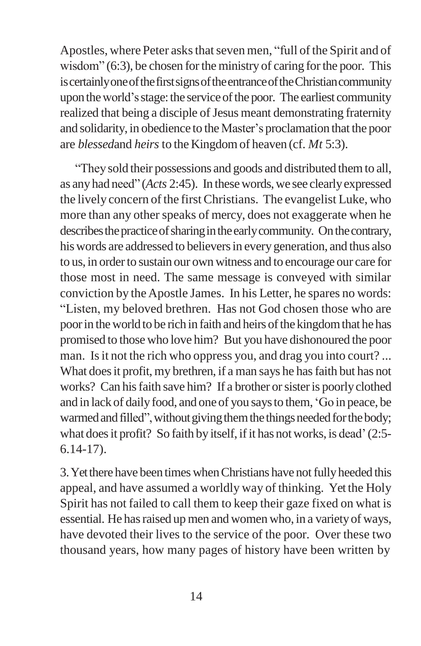Apostles, where Peter asks that seven men, "full of the Spirit and of wisdom"  $(6:3)$ , be chosen for the ministry of caring for the poor. This is certainly one of the first signs of the entrance of the Christian community upon the world's stage: the service of the poor. The earliest community realized that being a disciple of Jesus meant demonstrating fraternity and solidarity, in obedience to theMaster's proclamation that the poor are *blessed*and *heirs* to the Kingdomof heaven (cf. *Mt* 5:3).

―They sold their possessions and goods and distributed themto all, as any had need" (*Acts* 2:45). In these words, we see clearly expressed the lively concern of the first Christians. The evangelist Luke, who more than any other speaks of mercy, does not exaggerate when he describes the practice of sharing in the early community. On the contrary, his words are addressed to believers in every generation, and thus also to us, in order to sustain our own witness and to encourage our care for those most in need. The same message is conveyed with similar conviction by theApostle James. In his Letter, he spares no words: ―Listen, my beloved brethren. Has not God chosen those who are poor in the world to be rich in faith and heirs of the kingdom that he has promised to those who love him? But you have dishonoured the poor man. Is it not the rich who oppress you, and drag you into court?... What does it profit, my brethren, if a man says he has faith but has not works? Can his faith save him? If a brother or sister is poorly clothed and in lack of daily food, and one of you says to them, 'Go in peace, be warmed and filled", without giving them the things needed for the body; what does it profit? So faith by itself, if it has not works, is dead' (2:5-6.14-17).

3. Yet there have been times when Christians have not fully heeded this appeal, and have assumed a worldly way of thinking. Yet the Holy Spirit has not failed to call them to keep their gaze fixed on what is essential. He has raised up men and women who, in a variety of ways, have devoted their lives to the service of the poor. Over these two thousand years, how many pages of history have been written by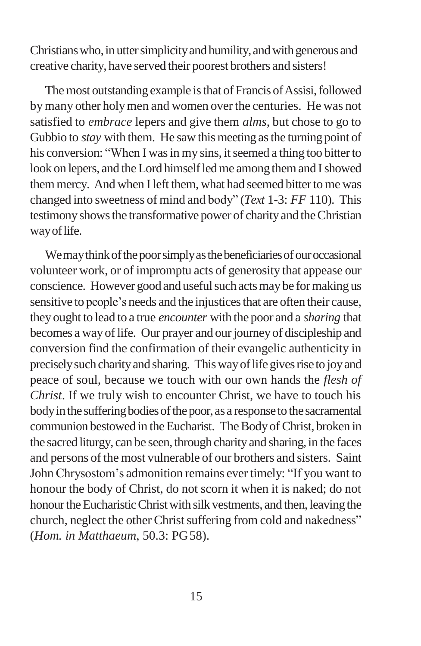Christians who, in utter simplicity and humility, and with generous and creative charity, have served their poorest brothers and sisters!

The most outstanding example is that of Francis of Assisi, followed bymany other holymen and women overthe centuries. He was not satisfied to *embrace* lepers and give them *alms*, but chose to go to Gubbio to *stay* with them. He saw this meeting as the turning point of his conversion: "When I was in my sins, it seemed a thing too bitter to look on lepers, and the Lord himself led me among them and I showed them mercy. And when I left them, what had seemed bitter to me was changed into sweetness of mind and body" (*Text* 1-3: *FF* 110). This testimonyshowsthe transformative power of charityand theChristian wayoflife.

We may think of the poor simply as the beneficiaries of our occasional volunteer work, or of impromptu acts of generosity that appease our conscience. However good and useful such acts may be for making us sensitive to people's needs and the injustices that are often their cause, they ought to lead to a true *encounter* with the poor and a *sharing* that becomes a way of life. Our prayer and our journey of discipleship and conversion find the confirmation of their evangelic authenticity in precisely such charity and sharing. This way of life gives rise to joy and peace of soul, because we touch with our own hands the *flesh of Christ*. If we truly wish to encounter Christ, we have to touch his body in the suffering bodies of the poor, as a response to the sacramental communion bestowed in the Eucharist. The Body of Christ, broken in the sacred liturgy, can be seen, through charity and sharing, in the faces and persons of the most vulnerable of our brothers and sisters. Saint John Chrysostom's admonition remains ever timely: "If you want to honour the body of Christ, do not scorn it when it is naked; do not honour the Eucharistic Christ with silk vestments, and then, leaving the church, neglect the other Christ suffering from cold and nakedness" (*Hom. in Matthaeum*, 50.3: PG58).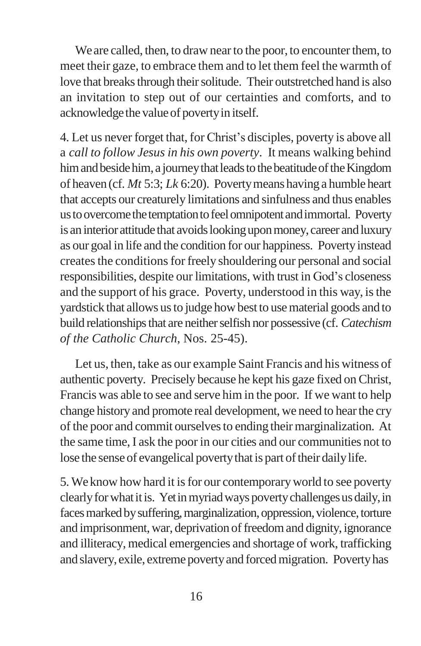We are called, then, to draw near to the poor, to encounter them, to meet their gaze, to embrace them and to let them feel the warmth of love that breaks through their solitude. Their outstretched hand is also an invitation to step out of our certainties and comforts, and to acknowledgethe valueof povertyin itself.

4. Let us never forget that, for Christ's disciples, poverty is above all a *call to follow Jesus in his own poverty*. It means walking behind him and beside him, a journey that leads to the beatitude of the Kingdom of heaven (cf. *Mt* 5:3; *Lk* 6:20). Povertymeans having a humble heart that accepts our creaturely limitations and sinfulness and thus enables us to overcome the temptation to feel omnipotent and immortal. Poverty is an interior attitude that avoids looking upon money, career and luxury as our goal in life and the condition for our happiness. Povertyinstead createsthe conditionsforfreely shouldering our personal and social responsibilities, despite our limitations, with trust in God's closeness and the support of his grace. Poverty, understood in this way, isthe yardstick that allows us to judge how best to use material goods and to build relationships that are neither selfish nor possessive (cf. *Catechism of the Catholic Church*, Nos. 25-45).

Let us, then, take as our example Saint Francis and his witness of authentic poverty. Precisely because he kept his gaze fixed on Christ, Francis was able to see and serve him in the poor. If we want to help change history and promote real development, we need to hear the cry of the poor and commit ourselves to ending their marginalization. At the same time, I ask the poor in our cities and our communities not to lose the sense of evangelical poverty that is part of their daily life.

5. We know how hard it is for our contemporary world to see poverty clearly for what it is. Yet in myriad ways poverty challenges us daily, in faces marked by suffering, marginalization, oppression, violence, torture and imprisonment, war, deprivation of freedom and dignity, ignorance and illiteracy, medical emergencies and shortage of work, trafficking and slavery, exile, extreme povertyand forcedmigration. Povertyhas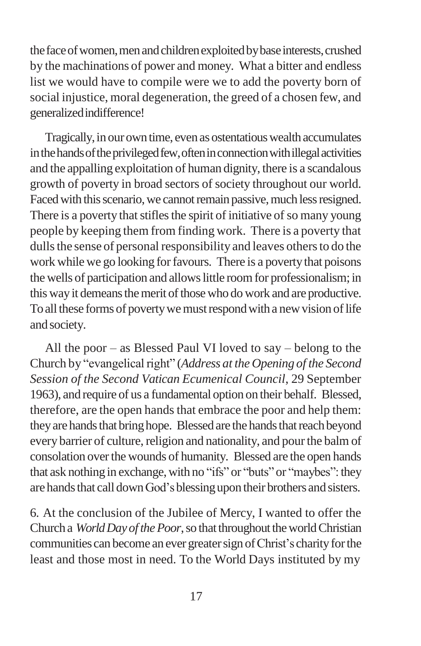the face of women, men and children exploited by base interests, crushed by the machinations of power and money. What a bitter and endless list we would have to compile were we to add the poverty born of social injustice, moral degeneration, the greed of a chosen few, and generalizedindifference!

Tragically, in our own time, even as ostentatious wealth accumulates in the hands of the privileged few, often in connection with illegal activities and the appalling exploitation of human dignity, there is a scandalous growth of poverty in broad sectors of society throughout our world. Faced with this scenario, we cannot remain passive, much less resigned. There is a poverty that stifles the spirit of initiative of so many young people by keeping them from finding work. There is a poverty that dulls the sense of personal responsibility and leaves others to do the work while we go looking for favours. There is a poverty that poisons the wells of participation and allows little room for professionalism; in this way it demeans the merit of those who do work and are productive. To all these forms of poverty we must respond with a new vision of life and society.

All the poor – as Blessed Paul VI loved to say – belong to the Church by "evangelical right" (*Address at the Opening of the Second Session of the Second Vatican Ecumenical Council*, 29 September 1963), and require of us a fundamental option on their behalf. Blessed, therefore, are the open hands that embrace the poor and help them: they are hands that bring hope. Blessed are the hands that reach beyond every barrier of culture, religion and nationality, and pour the balm of consolation overthe wounds of humanity. Blessed are the open hands that ask nothing in exchange, with no "ifs" or "buts" or "maybes": they are hands that call down God's blessing upon their brothers and sisters.

6. At the conclusion of the Jubilee of Mercy, I wanted to offer the Church a *World Day of the Poor*, so that throughout the world Christian communities can become an ever greater sign of Christ's charity for the least and those most in need. To the World Days instituted by my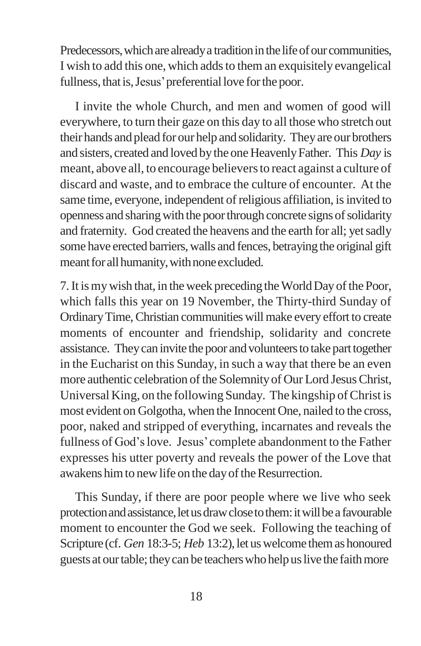Predecessors, which are already a tradition in the life of our communities, I wish to add this one, which adds to them an exquisitely evangelical fullness, that is, Jesus' preferential love for the poor.

I invite the whole Church, and men and women of good will everywhere, to turn their gaze on this day to all those who stretch out their hands and plead for our help and solidarity. Theyare our brothers and sisters, created and loved by the one Heavenly Father. This *Day* is meant, above all, to encourage believersto react against a culture of discard and waste, and to embrace the culture of encounter. At the same time, everyone, independent of religious affiliation, is invited to openness and sharing with the poor through concrete signs of solidarity and fraternity. God created the heavens and the earth for all; yet sadly some have erected barriers, walls and fences, betraying the original gift meant for all humanity, with none excluded.

7. It is my wish that, in the week preceding the World Day of the Poor, which falls this year on 19 November, the Thirty-third Sunday of OrdinaryTime,Christian communities willmake every effort to create moments of encounter and friendship, solidarity and concrete assistance. They can invite the poor and volunteers to take part together in the Eucharist on this Sunday, in such a way that there be an even more authentic celebration of the Solemnity of Our Lord Jesus Christ, Universal King, on the following Sunday. The kingship ofChrist is most evident on Golgotha, when the Innocent One, nailed to the cross, poor, naked and stripped of everything, incarnates and reveals the fullness of God'slove. Jesus'complete abandonment to the Father expresses his utter poverty and reveals the power of the Love that awakens him to new life on the day of the Resurrection.

This Sunday, if there are poor people where we live who seek protection and assistance, let us draw close to them: it will be a favourable moment to encounter the God we seek. Following the teaching of Scripture (cf. *Gen* 18:3-5; *Heb* 13:2), let us welcome them as honoured guests at our table; they can be teachers who help us live the faith more